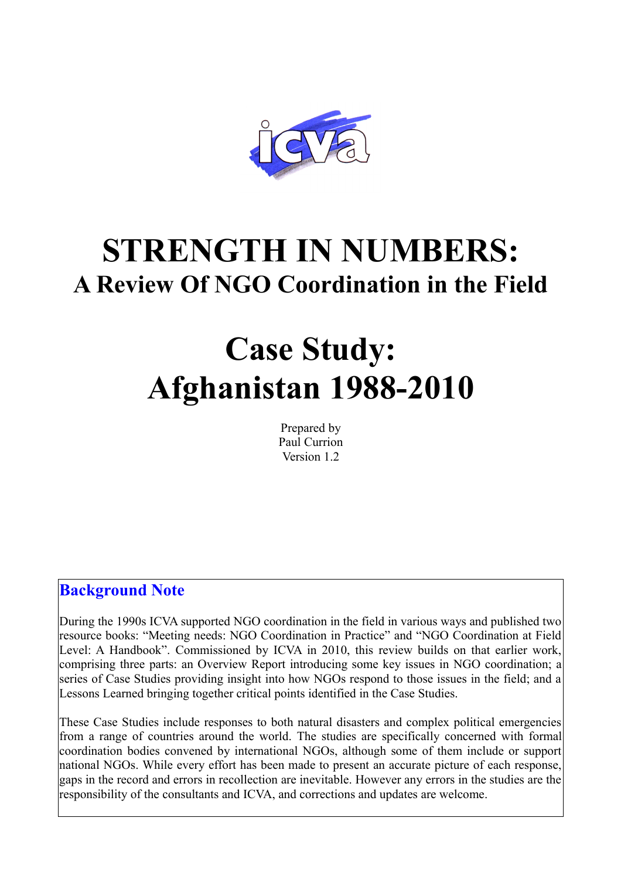

## **STRENGTH IN NUMBERS: A Review Of NGO Coordination in the Field**

# **Case Study: Afghanistan 1988-2010**

Prepared by Paul Currion Version 1.2

## **Background Note**

During the 1990s ICVA supported NGO coordination in the field in various ways and published two resource books: "Meeting needs: NGO Coordination in Practice" and "NGO Coordination at Field Level: A Handbook". Commissioned by ICVA in 2010, this review builds on that earlier work, comprising three parts: an Overview Report introducing some key issues in NGO coordination; a series of Case Studies providing insight into how NGOs respond to those issues in the field; and a Lessons Learned bringing together critical points identified in the Case Studies.

These Case Studies include responses to both natural disasters and complex political emergencies from a range of countries around the world. The studies are specifically concerned with formal coordination bodies convened by international NGOs, although some of them include or support national NGOs. While every effort has been made to present an accurate picture of each response, gaps in the record and errors in recollection are inevitable. However any errors in the studies are the responsibility of the consultants and ICVA, and corrections and updates are welcome.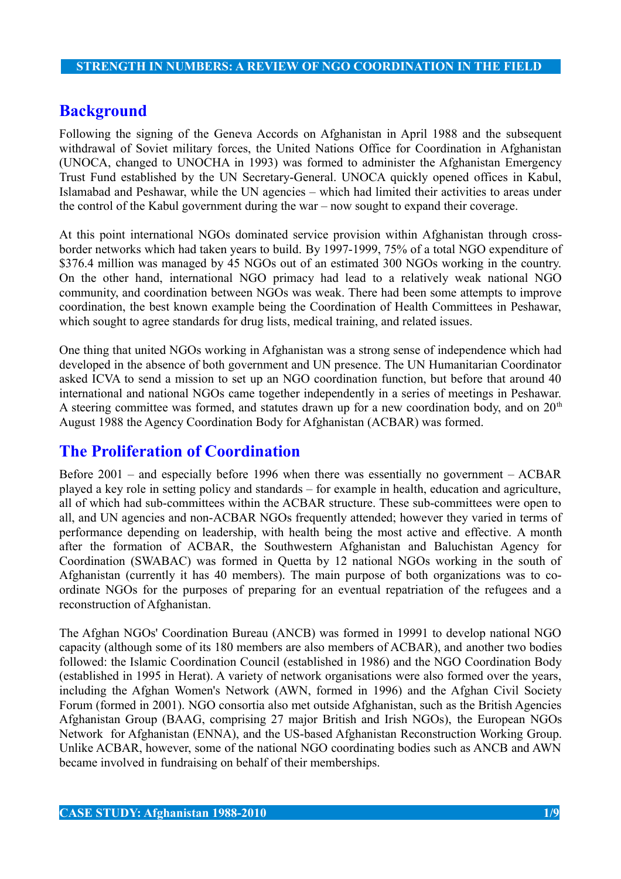## **Background**

Following the signing of the Geneva Accords on Afghanistan in April 1988 and the subsequent withdrawal of Soviet military forces, the United Nations Office for Coordination in Afghanistan (UNOCA, changed to UNOCHA in 1993) was formed to administer the Afghanistan Emergency Trust Fund established by the UN Secretary-General. UNOCA quickly opened offices in Kabul, Islamabad and Peshawar, while the UN agencies – which had limited their activities to areas under the control of the Kabul government during the war – now sought to expand their coverage.

At this point international NGOs dominated service provision within Afghanistan through crossborder networks which had taken years to build. By 1997-1999, 75% of a total NGO expenditure of \$376.4 million was managed by 45 NGOs out of an estimated 300 NGOs working in the country. On the other hand, international NGO primacy had lead to a relatively weak national NGO community, and coordination between NGOs was weak. There had been some attempts to improve coordination, the best known example being the Coordination of Health Committees in Peshawar, which sought to agree standards for drug lists, medical training, and related issues.

One thing that united NGOs working in Afghanistan was a strong sense of independence which had developed in the absence of both government and UN presence. The UN Humanitarian Coordinator asked ICVA to send a mission to set up an NGO coordination function, but before that around 40 international and national NGOs came together independently in a series of meetings in Peshawar. A steering committee was formed, and statutes drawn up for a new coordination body, and on  $20<sup>th</sup>$ August 1988 the Agency Coordination Body for Afghanistan (ACBAR) was formed.

## **The Proliferation of Coordination**

Before 2001 – and especially before 1996 when there was essentially no government – ACBAR played a key role in setting policy and standards – for example in health, education and agriculture, all of which had sub-committees within the ACBAR structure. These sub-committees were open to all, and UN agencies and non-ACBAR NGOs frequently attended; however they varied in terms of performance depending on leadership, with health being the most active and effective. A month after the formation of ACBAR, the Southwestern Afghanistan and Baluchistan Agency for Coordination (SWABAC) was formed in Quetta by 12 national NGOs working in the south of Afghanistan (currently it has 40 members). The main purpose of both organizations was to coordinate NGOs for the purposes of preparing for an eventual repatriation of the refugees and a reconstruction of Afghanistan.

The Afghan NGOs' Coordination Bureau (ANCB) was formed in 19991 to develop national NGO capacity (although some of its 180 members are also members of ACBAR), and another two bodies followed: the Islamic Coordination Council (established in 1986) and the NGO Coordination Body (established in 1995 in Herat). A variety of network organisations were also formed over the years, including the Afghan Women's Network (AWN, formed in 1996) and the Afghan Civil Society Forum (formed in 2001). NGO consortia also met outside Afghanistan, such as the British Agencies Afghanistan Group (BAAG, comprising 27 major British and Irish NGOs), the European NGOs Network for Afghanistan (ENNA), and the US-based Afghanistan Reconstruction Working Group. Unlike ACBAR, however, some of the national NGO coordinating bodies such as ANCB and AWN became involved in fundraising on behalf of their memberships.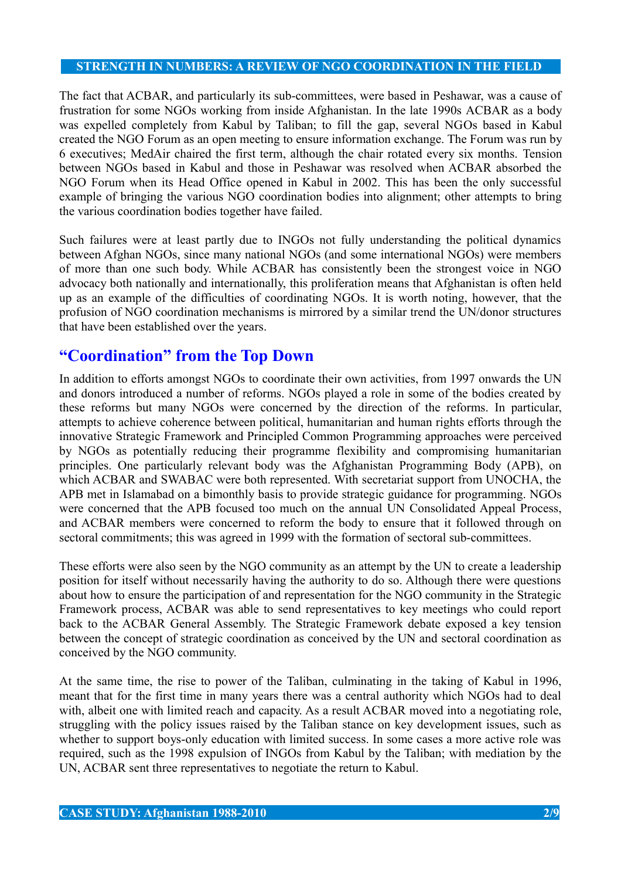The fact that ACBAR, and particularly its sub-committees, were based in Peshawar, was a cause of frustration for some NGOs working from inside Afghanistan. In the late 1990s ACBAR as a body was expelled completely from Kabul by Taliban; to fill the gap, several NGOs based in Kabul created the NGO Forum as an open meeting to ensure information exchange. The Forum was run by 6 executives; MedAir chaired the first term, although the chair rotated every six months. Tension between NGOs based in Kabul and those in Peshawar was resolved when ACBAR absorbed the NGO Forum when its Head Office opened in Kabul in 2002. This has been the only successful example of bringing the various NGO coordination bodies into alignment; other attempts to bring the various coordination bodies together have failed.

Such failures were at least partly due to INGOs not fully understanding the political dynamics between Afghan NGOs, since many national NGOs (and some international NGOs) were members of more than one such body. While ACBAR has consistently been the strongest voice in NGO advocacy both nationally and internationally, this proliferation means that Afghanistan is often held up as an example of the difficulties of coordinating NGOs. It is worth noting, however, that the profusion of NGO coordination mechanisms is mirrored by a similar trend the UN/donor structures that have been established over the years.

## **"Coordination" from the Top Down**

In addition to efforts amongst NGOs to coordinate their own activities, from 1997 onwards the UN and donors introduced a number of reforms. NGOs played a role in some of the bodies created by these reforms but many NGOs were concerned by the direction of the reforms. In particular, attempts to achieve coherence between political, humanitarian and human rights efforts through the innovative Strategic Framework and Principled Common Programming approaches were perceived by NGOs as potentially reducing their programme flexibility and compromising humanitarian principles. One particularly relevant body was the Afghanistan Programming Body (APB), on which ACBAR and SWABAC were both represented. With secretariat support from UNOCHA, the APB met in Islamabad on a bimonthly basis to provide strategic guidance for programming. NGOs were concerned that the APB focused too much on the annual UN Consolidated Appeal Process, and ACBAR members were concerned to reform the body to ensure that it followed through on sectoral commitments; this was agreed in 1999 with the formation of sectoral sub-committees.

These efforts were also seen by the NGO community as an attempt by the UN to create a leadership position for itself without necessarily having the authority to do so. Although there were questions about how to ensure the participation of and representation for the NGO community in the Strategic Framework process, ACBAR was able to send representatives to key meetings who could report back to the ACBAR General Assembly. The Strategic Framework debate exposed a key tension between the concept of strategic coordination as conceived by the UN and sectoral coordination as conceived by the NGO community.

At the same time, the rise to power of the Taliban, culminating in the taking of Kabul in 1996, meant that for the first time in many years there was a central authority which NGOs had to deal with, albeit one with limited reach and capacity. As a result ACBAR moved into a negotiating role, struggling with the policy issues raised by the Taliban stance on key development issues, such as whether to support boys-only education with limited success. In some cases a more active role was required, such as the 1998 expulsion of INGOs from Kabul by the Taliban; with mediation by the UN, ACBAR sent three representatives to negotiate the return to Kabul.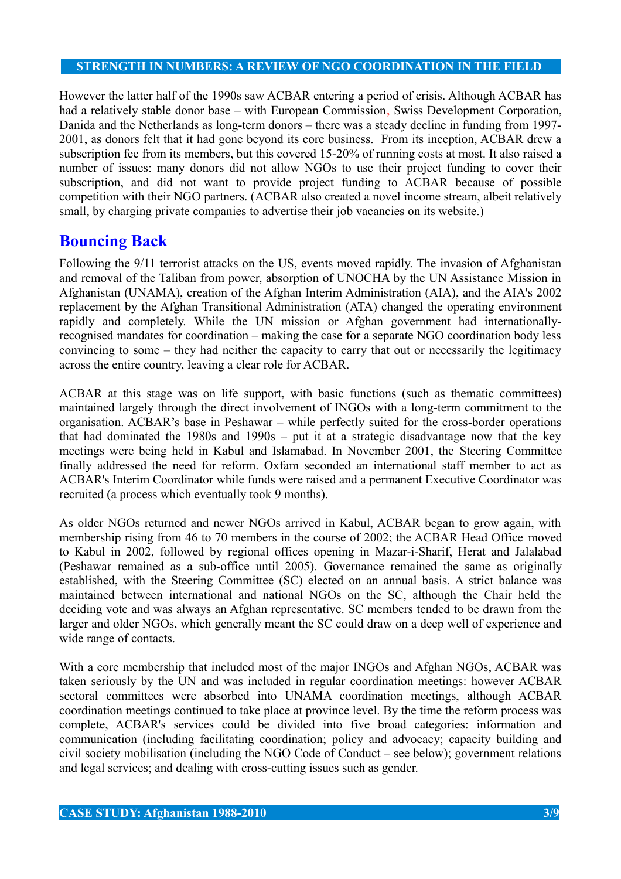However the latter half of the 1990s saw ACBAR entering a period of crisis. Although ACBAR has had a relatively stable donor base – with European Commission, Swiss Development Corporation, Danida and the Netherlands as long-term donors – there was a steady decline in funding from 1997- 2001, as donors felt that it had gone beyond its core business. From its inception, ACBAR drew a subscription fee from its members, but this covered 15-20% of running costs at most. It also raised a number of issues: many donors did not allow NGOs to use their project funding to cover their subscription, and did not want to provide project funding to ACBAR because of possible competition with their NGO partners. (ACBAR also created a novel income stream, albeit relatively small, by charging private companies to advertise their job vacancies on its website.)

## **Bouncing Back**

Following the 9/11 terrorist attacks on the US, events moved rapidly. The invasion of Afghanistan and removal of the Taliban from power, absorption of UNOCHA by the UN Assistance Mission in Afghanistan (UNAMA), creation of the Afghan Interim Administration (AIA), and the AIA's 2002 replacement by the Afghan Transitional Administration (ATA) changed the operating environment rapidly and completely. While the UN mission or Afghan government had internationallyrecognised mandates for coordination – making the case for a separate NGO coordination body less convincing to some – they had neither the capacity to carry that out or necessarily the legitimacy across the entire country, leaving a clear role for ACBAR.

ACBAR at this stage was on life support, with basic functions (such as thematic committees) maintained largely through the direct involvement of INGOs with a long-term commitment to the organisation. ACBAR's base in Peshawar – while perfectly suited for the cross-border operations that had dominated the 1980s and 1990s – put it at a strategic disadvantage now that the key meetings were being held in Kabul and Islamabad. In November 2001, the Steering Committee finally addressed the need for reform. Oxfam seconded an international staff member to act as ACBAR's Interim Coordinator while funds were raised and a permanent Executive Coordinator was recruited (a process which eventually took 9 months).

As older NGOs returned and newer NGOs arrived in Kabul, ACBAR began to grow again, with membership rising from 46 to 70 members in the course of 2002; the ACBAR Head Office moved to Kabul in 2002, followed by regional offices opening in Mazar-i-Sharif, Herat and Jalalabad (Peshawar remained as a sub-office until 2005). Governance remained the same as originally established, with the Steering Committee (SC) elected on an annual basis. A strict balance was maintained between international and national NGOs on the SC, although the Chair held the deciding vote and was always an Afghan representative. SC members tended to be drawn from the larger and older NGOs, which generally meant the SC could draw on a deep well of experience and wide range of contacts.

With a core membership that included most of the major INGOs and Afghan NGOs, ACBAR was taken seriously by the UN and was included in regular coordination meetings: however ACBAR sectoral committees were absorbed into UNAMA coordination meetings, although ACBAR coordination meetings continued to take place at province level. By the time the reform process was complete, ACBAR's services could be divided into five broad categories: information and communication (including facilitating coordination; policy and advocacy; capacity building and civil society mobilisation (including the NGO Code of Conduct – see below); government relations and legal services; and dealing with cross-cutting issues such as gender.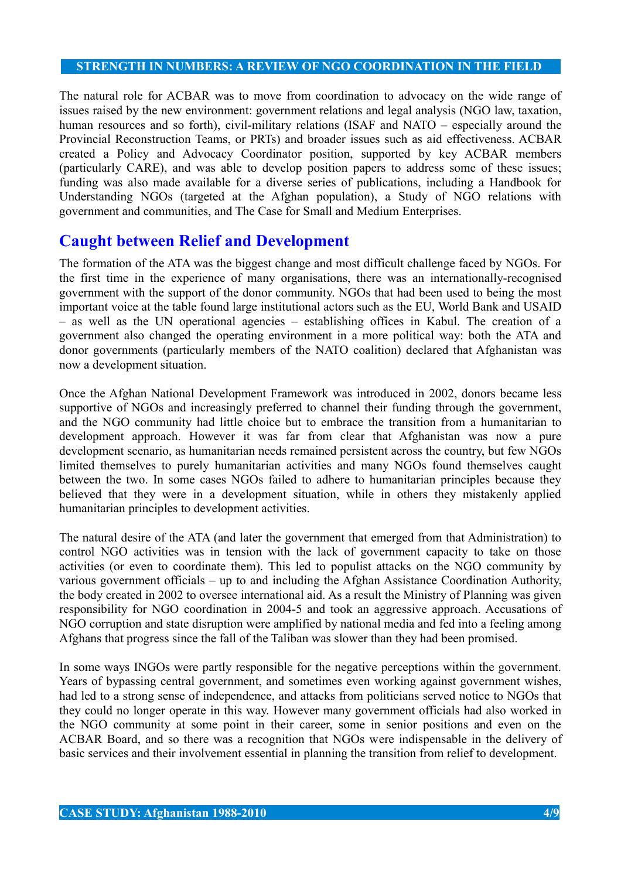The natural role for ACBAR was to move from coordination to advocacy on the wide range of issues raised by the new environment: government relations and legal analysis (NGO law, taxation, human resources and so forth), civil-military relations (ISAF and NATO – especially around the Provincial Reconstruction Teams, or PRTs) and broader issues such as aid effectiveness. ACBAR created a Policy and Advocacy Coordinator position, supported by key ACBAR members (particularly CARE), and was able to develop position papers to address some of these issues; funding was also made available for a diverse series of publications, including a Handbook for Understanding NGOs (targeted at the Afghan population), a Study of NGO relations with government and communities, and The Case for Small and Medium Enterprises.

## **Caught between Relief and Development**

The formation of the ATA was the biggest change and most difficult challenge faced by NGOs. For the first time in the experience of many organisations, there was an internationally-recognised government with the support of the donor community. NGOs that had been used to being the most important voice at the table found large institutional actors such as the EU, World Bank and USAID – as well as the UN operational agencies – establishing offices in Kabul. The creation of a government also changed the operating environment in a more political way: both the ATA and donor governments (particularly members of the NATO coalition) declared that Afghanistan was now a development situation.

Once the Afghan National Development Framework was introduced in 2002, donors became less supportive of NGOs and increasingly preferred to channel their funding through the government, and the NGO community had little choice but to embrace the transition from a humanitarian to development approach. However it was far from clear that Afghanistan was now a pure development scenario, as humanitarian needs remained persistent across the country, but few NGOs limited themselves to purely humanitarian activities and many NGOs found themselves caught between the two. In some cases NGOs failed to adhere to humanitarian principles because they believed that they were in a development situation, while in others they mistakenly applied humanitarian principles to development activities.

The natural desire of the ATA (and later the government that emerged from that Administration) to control NGO activities was in tension with the lack of government capacity to take on those activities (or even to coordinate them). This led to populist attacks on the NGO community by various government officials – up to and including the Afghan Assistance Coordination Authority, the body created in 2002 to oversee international aid. As a result the Ministry of Planning was given responsibility for NGO coordination in 2004-5 and took an aggressive approach. Accusations of NGO corruption and state disruption were amplified by national media and fed into a feeling among Afghans that progress since the fall of the Taliban was slower than they had been promised.

In some ways INGOs were partly responsible for the negative perceptions within the government. Years of bypassing central government, and sometimes even working against government wishes, had led to a strong sense of independence, and attacks from politicians served notice to NGOs that they could no longer operate in this way. However many government officials had also worked in the NGO community at some point in their career, some in senior positions and even on the ACBAR Board, and so there was a recognition that NGOs were indispensable in the delivery of basic services and their involvement essential in planning the transition from relief to development.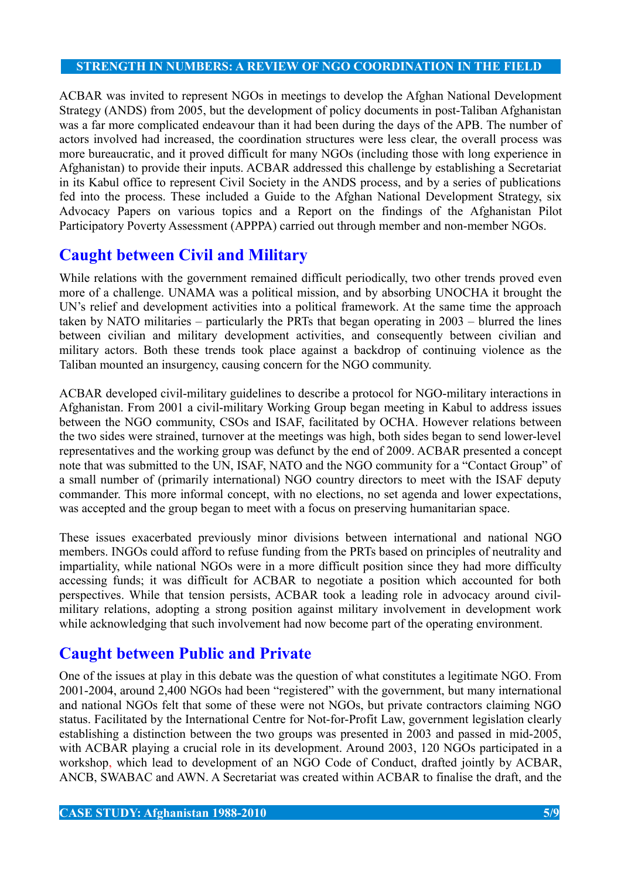ACBAR was invited to represent NGOs in meetings to develop the Afghan National Development Strategy (ANDS) from 2005, but the development of policy documents in post-Taliban Afghanistan was a far more complicated endeavour than it had been during the days of the APB. The number of actors involved had increased, the coordination structures were less clear, the overall process was more bureaucratic, and it proved difficult for many NGOs (including those with long experience in Afghanistan) to provide their inputs. ACBAR addressed this challenge by establishing a Secretariat in its Kabul office to represent Civil Society in the ANDS process, and by a series of publications fed into the process. These included a Guide to the Afghan National Development Strategy, six Advocacy Papers on various topics and a Report on the findings of the Afghanistan Pilot Participatory Poverty Assessment (APPPA) carried out through member and non-member NGOs.

## **Caught between Civil and Military**

While relations with the government remained difficult periodically, two other trends proved even more of a challenge. UNAMA was a political mission, and by absorbing UNOCHA it brought the UN's relief and development activities into a political framework. At the same time the approach taken by NATO militaries – particularly the PRTs that began operating in 2003 – blurred the lines between civilian and military development activities, and consequently between civilian and military actors. Both these trends took place against a backdrop of continuing violence as the Taliban mounted an insurgency, causing concern for the NGO community.

ACBAR developed civil-military guidelines to describe a protocol for NGO-military interactions in Afghanistan. From 2001 a civil-military Working Group began meeting in Kabul to address issues between the NGO community, CSOs and ISAF, facilitated by OCHA. However relations between the two sides were strained, turnover at the meetings was high, both sides began to send lower-level representatives and the working group was defunct by the end of 2009. ACBAR presented a concept note that was submitted to the UN, ISAF, NATO and the NGO community for a "Contact Group" of a small number of (primarily international) NGO country directors to meet with the ISAF deputy commander. This more informal concept, with no elections, no set agenda and lower expectations, was accepted and the group began to meet with a focus on preserving humanitarian space.

These issues exacerbated previously minor divisions between international and national NGO members. INGOs could afford to refuse funding from the PRTs based on principles of neutrality and impartiality, while national NGOs were in a more difficult position since they had more difficulty accessing funds; it was difficult for ACBAR to negotiate a position which accounted for both perspectives. While that tension persists, ACBAR took a leading role in advocacy around civilmilitary relations, adopting a strong position against military involvement in development work while acknowledging that such involvement had now become part of the operating environment.

## **Caught between Public and Private**

One of the issues at play in this debate was the question of what constitutes a legitimate NGO. From 2001-2004, around 2,400 NGOs had been "registered" with the government, but many international and national NGOs felt that some of these were not NGOs, but private contractors claiming NGO status. Facilitated by the International Centre for Not-for-Profit Law, government legislation clearly establishing a distinction between the two groups was presented in 2003 and passed in mid-2005, with ACBAR playing a crucial role in its development. Around 2003, 120 NGOs participated in a workshop, which lead to development of an NGO Code of Conduct, drafted jointly by ACBAR, ANCB, SWABAC and AWN. A Secretariat was created within ACBAR to finalise the draft, and the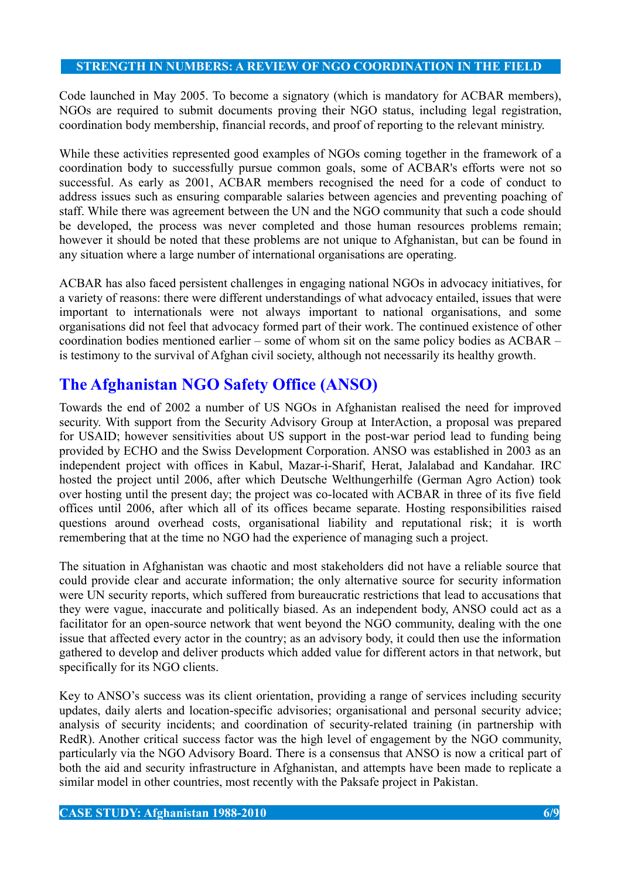Code launched in May 2005. To become a signatory (which is mandatory for ACBAR members), NGOs are required to submit documents proving their NGO status, including legal registration, coordination body membership, financial records, and proof of reporting to the relevant ministry.

While these activities represented good examples of NGOs coming together in the framework of a coordination body to successfully pursue common goals, some of ACBAR's efforts were not so successful. As early as 2001, ACBAR members recognised the need for a code of conduct to address issues such as ensuring comparable salaries between agencies and preventing poaching of staff. While there was agreement between the UN and the NGO community that such a code should be developed, the process was never completed and those human resources problems remain; however it should be noted that these problems are not unique to Afghanistan, but can be found in any situation where a large number of international organisations are operating.

ACBAR has also faced persistent challenges in engaging national NGOs in advocacy initiatives, for a variety of reasons: there were different understandings of what advocacy entailed, issues that were important to internationals were not always important to national organisations, and some organisations did not feel that advocacy formed part of their work. The continued existence of other coordination bodies mentioned earlier – some of whom sit on the same policy bodies as ACBAR – is testimony to the survival of Afghan civil society, although not necessarily its healthy growth.

## **The Afghanistan NGO Safety Office (ANSO)**

Towards the end of 2002 a number of US NGOs in Afghanistan realised the need for improved security. With support from the Security Advisory Group at InterAction, a proposal was prepared for USAID; however sensitivities about US support in the post-war period lead to funding being provided by ECHO and the Swiss Development Corporation. ANSO was established in 2003 as an independent project with offices in Kabul, Mazar-i-Sharif, Herat, Jalalabad and Kandahar. IRC hosted the project until 2006, after which Deutsche Welthungerhilfe (German Agro Action) took over hosting until the present day; the project was co-located with ACBAR in three of its five field offices until 2006, after which all of its offices became separate. Hosting responsibilities raised questions around overhead costs, organisational liability and reputational risk; it is worth remembering that at the time no NGO had the experience of managing such a project.

The situation in Afghanistan was chaotic and most stakeholders did not have a reliable source that could provide clear and accurate information; the only alternative source for security information were UN security reports, which suffered from bureaucratic restrictions that lead to accusations that they were vague, inaccurate and politically biased. As an independent body, ANSO could act as a facilitator for an open-source network that went beyond the NGO community, dealing with the one issue that affected every actor in the country; as an advisory body, it could then use the information gathered to develop and deliver products which added value for different actors in that network, but specifically for its NGO clients.

Key to ANSO's success was its client orientation, providing a range of services including security updates, daily alerts and location-specific advisories; organisational and personal security advice; analysis of security incidents; and coordination of security-related training (in partnership with RedR). Another critical success factor was the high level of engagement by the NGO community, particularly via the NGO Advisory Board. There is a consensus that ANSO is now a critical part of both the aid and security infrastructure in Afghanistan, and attempts have been made to replicate a similar model in other countries, most recently with the Paksafe project in Pakistan.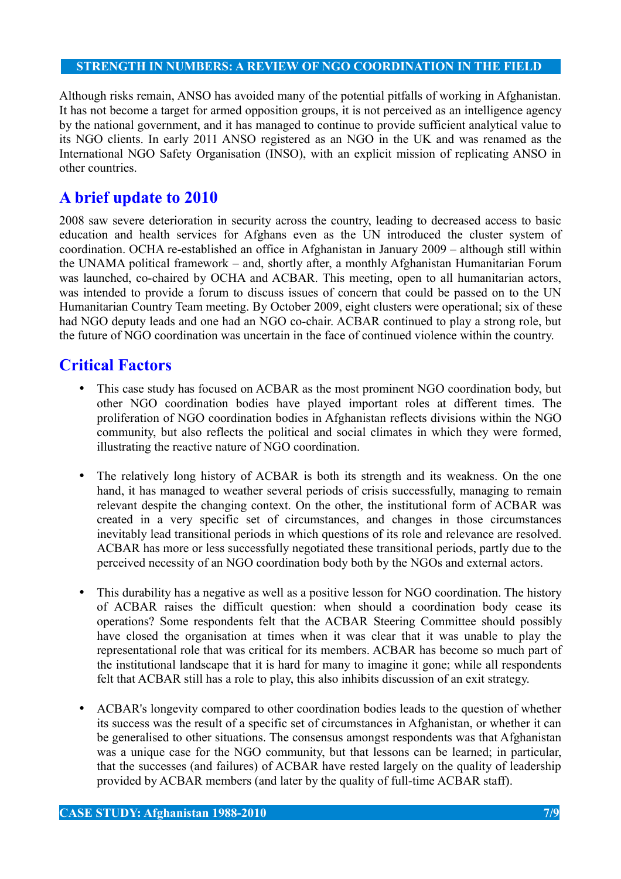Although risks remain, ANSO has avoided many of the potential pitfalls of working in Afghanistan. It has not become a target for armed opposition groups, it is not perceived as an intelligence agency by the national government, and it has managed to continue to provide sufficient analytical value to its NGO clients. In early 2011 ANSO registered as an NGO in the UK and was renamed as the International NGO Safety Organisation (INSO), with an explicit mission of replicating ANSO in other countries.

## **A brief update to 2010**

2008 saw severe deterioration in security across the country, leading to decreased access to basic education and health services for Afghans even as the UN introduced the cluster system of coordination. OCHA re-established an office in Afghanistan in January 2009 – although still within the UNAMA political framework – and, shortly after, a monthly Afghanistan Humanitarian Forum was launched, co-chaired by OCHA and ACBAR. This meeting, open to all humanitarian actors, was intended to provide a forum to discuss issues of concern that could be passed on to the UN Humanitarian Country Team meeting. By October 2009, eight clusters were operational; six of these had NGO deputy leads and one had an NGO co-chair. ACBAR continued to play a strong role, but the future of NGO coordination was uncertain in the face of continued violence within the country.

## **Critical Factors**

- This case study has focused on ACBAR as the most prominent NGO coordination body, but other NGO coordination bodies have played important roles at different times. The proliferation of NGO coordination bodies in Afghanistan reflects divisions within the NGO community, but also reflects the political and social climates in which they were formed, illustrating the reactive nature of NGO coordination.
- The relatively long history of ACBAR is both its strength and its weakness. On the one hand, it has managed to weather several periods of crisis successfully, managing to remain relevant despite the changing context. On the other, the institutional form of ACBAR was created in a very specific set of circumstances, and changes in those circumstances inevitably lead transitional periods in which questions of its role and relevance are resolved. ACBAR has more or less successfully negotiated these transitional periods, partly due to the perceived necessity of an NGO coordination body both by the NGOs and external actors.
- This durability has a negative as well as a positive lesson for NGO coordination. The history of ACBAR raises the difficult question: when should a coordination body cease its operations? Some respondents felt that the ACBAR Steering Committee should possibly have closed the organisation at times when it was clear that it was unable to play the representational role that was critical for its members. ACBAR has become so much part of the institutional landscape that it is hard for many to imagine it gone; while all respondents felt that ACBAR still has a role to play, this also inhibits discussion of an exit strategy.
- ACBAR's longevity compared to other coordination bodies leads to the question of whether its success was the result of a specific set of circumstances in Afghanistan, or whether it can be generalised to other situations. The consensus amongst respondents was that Afghanistan was a unique case for the NGO community, but that lessons can be learned; in particular, that the successes (and failures) of ACBAR have rested largely on the quality of leadership provided by ACBAR members (and later by the quality of full-time ACBAR staff).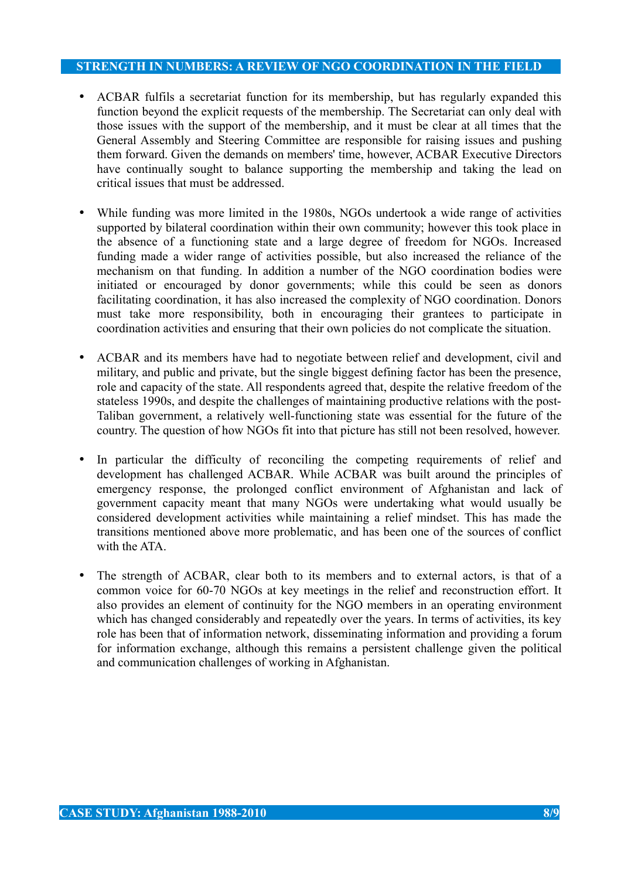- ACBAR fulfils a secretariat function for its membership, but has regularly expanded this function beyond the explicit requests of the membership. The Secretariat can only deal with those issues with the support of the membership, and it must be clear at all times that the General Assembly and Steering Committee are responsible for raising issues and pushing them forward. Given the demands on members' time, however, ACBAR Executive Directors have continually sought to balance supporting the membership and taking the lead on critical issues that must be addressed.
- While funding was more limited in the 1980s, NGOs undertook a wide range of activities supported by bilateral coordination within their own community; however this took place in the absence of a functioning state and a large degree of freedom for NGOs. Increased funding made a wider range of activities possible, but also increased the reliance of the mechanism on that funding. In addition a number of the NGO coordination bodies were initiated or encouraged by donor governments; while this could be seen as donors facilitating coordination, it has also increased the complexity of NGO coordination. Donors must take more responsibility, both in encouraging their grantees to participate in coordination activities and ensuring that their own policies do not complicate the situation.
- ACBAR and its members have had to negotiate between relief and development, civil and military, and public and private, but the single biggest defining factor has been the presence, role and capacity of the state. All respondents agreed that, despite the relative freedom of the stateless 1990s, and despite the challenges of maintaining productive relations with the post-Taliban government, a relatively well-functioning state was essential for the future of the country. The question of how NGOs fit into that picture has still not been resolved, however.
- In particular the difficulty of reconciling the competing requirements of relief and development has challenged ACBAR. While ACBAR was built around the principles of emergency response, the prolonged conflict environment of Afghanistan and lack of government capacity meant that many NGOs were undertaking what would usually be considered development activities while maintaining a relief mindset. This has made the transitions mentioned above more problematic, and has been one of the sources of conflict with the ATA
- The strength of ACBAR, clear both to its members and to external actors, is that of a common voice for 60-70 NGOs at key meetings in the relief and reconstruction effort. It also provides an element of continuity for the NGO members in an operating environment which has changed considerably and repeatedly over the years. In terms of activities, its key role has been that of information network, disseminating information and providing a forum for information exchange, although this remains a persistent challenge given the political and communication challenges of working in Afghanistan.